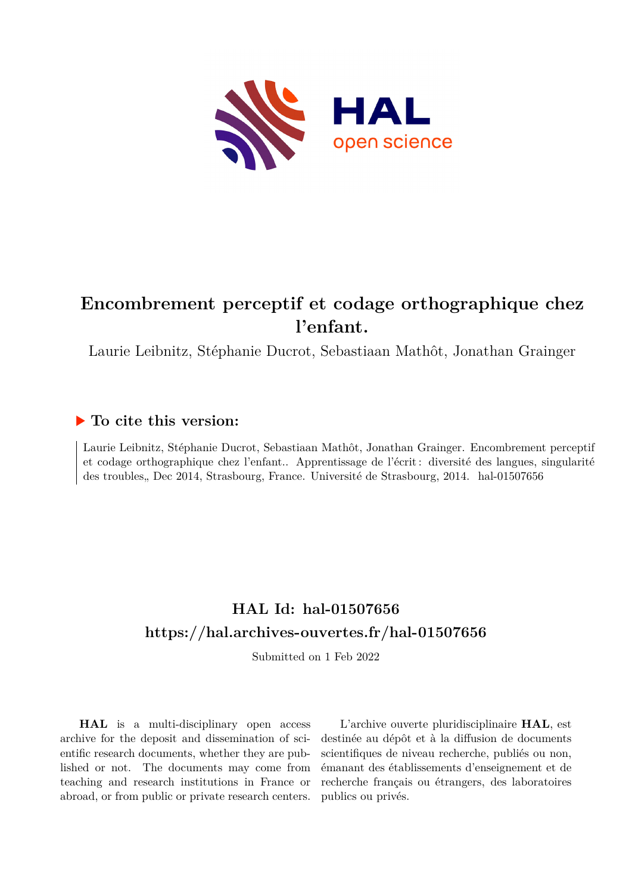

#### **Encombrement perceptif et codage orthographique chez l'enfant.**

Laurie Leibnitz, Stéphanie Ducrot, Sebastiaan Mathôt, Jonathan Grainger

#### **To cite this version:**

Laurie Leibnitz, Stéphanie Ducrot, Sebastiaan Mathôt, Jonathan Grainger. Encombrement perceptif et codage orthographique chez l'enfant.. Apprentissage de l'écrit : diversité des langues, singularité des troubles, Dec 2014, Strasbourg, France. Université de Strasbourg, 2014. hal-01507656

#### **HAL Id: hal-01507656 <https://hal.archives-ouvertes.fr/hal-01507656>**

Submitted on 1 Feb 2022

**HAL** is a multi-disciplinary open access archive for the deposit and dissemination of scientific research documents, whether they are published or not. The documents may come from teaching and research institutions in France or abroad, or from public or private research centers.

L'archive ouverte pluridisciplinaire **HAL**, est destinée au dépôt et à la diffusion de documents scientifiques de niveau recherche, publiés ou non, émanant des établissements d'enseignement et de recherche français ou étrangers, des laboratoires publics ou privés.